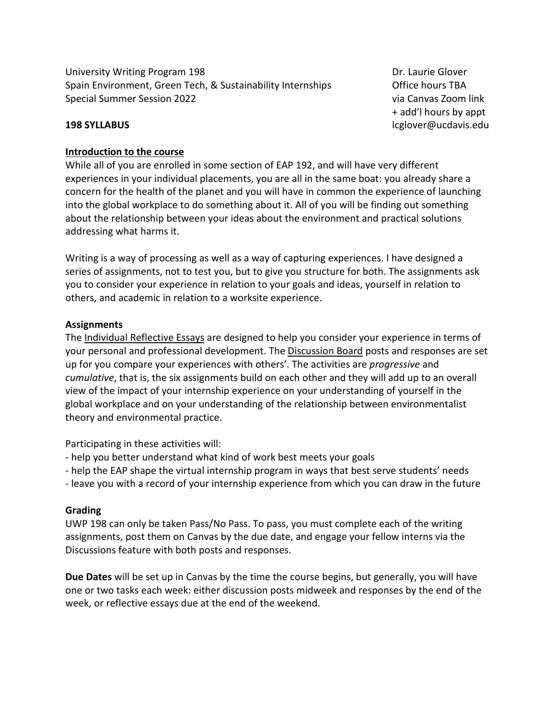University Writing Program 198 **Dr. Laurie Glover** Dr. Laurie Glover Spain Environment, Green Tech, & Sustainability Internships **Office hours TBA** Special Summer Session 2022 via Canvas Zoom link

+ add'l hours by appt **198 SYLLABUS** lcglover@ucdavis.edu

#### **Introduction to the course**

While all of you are enrolled in some section of EAP 192, and will have very different experiences in your individual placements, you are all in the same boat: you already share a concern for the health of the planet and you will have in common the experience of launching into the global workplace to do something about it. All of you will be finding out something about the relationship between your ideas about the environment and practical solutions addressing what harms it.

Writing is a way of processing as well as a way of capturing experiences. I have designed a series of assignments, not to test you, but to give you structure for both. The assignments ask you to consider your experience in relation to your goals and ideas, yourself in relation to others, and academic in relation to a worksite experience.

#### **Assignments**

The Individual Reflective Essays are designed to help you consider your experience in terms of your personal and professional development. The Discussion Board posts and responses are set up for you compare your experiences with others'. The activities are *progressive* and *cumulative*, that is, the six assignments build on each other and they will add up to an overall view of the impact of your internship experience on your understanding of yourself in the global workplace and on your understanding of the relationship between environmentalist theory and environmental practice.

Participating in these activities will:

- help you better understand what kind of work best meets your goals
- help the EAP shape the virtual internship program in ways that best serve students' needs
- leave you with a record of your internship experience from which you can draw in the future

#### **Grading**

UWP 198 can only be taken Pass/No Pass. To pass, you must complete each of the writing assignments, post them on Canvas by the due date, and engage your fellow interns via the Discussions feature with both posts and responses.

**Due Dates** will be set up in Canvas by the time the course begins, but generally, you will have one or two tasks each week: either discussion posts midweek and responses by the end of the week, or reflective essays due at the end of the weekend.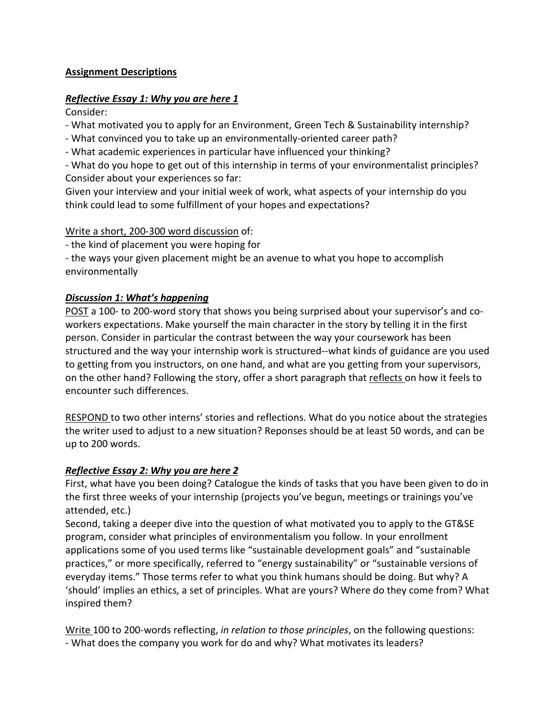## **Assignment Descriptions**

## *Reflective Essay 1: Why you are here 1*

Consider:

- What motivated you to apply for an Environment, Green Tech & Sustainability internship?
- What convinced you to take up an environmentally-oriented career path?
- What academic experiences in particular have influenced your thinking?
- What do you hope to get out of this internship in terms of your environmentalist principles? Consider about your experiences so far:

Given your interview and your initial week of work, what aspects of your internship do you think could lead to some fulfillment of your hopes and expectations?

## Write a short, 200-300 word discussion of:

- the kind of placement you were hoping for

- the ways your given placement might be an avenue to what you hope to accomplish environmentally

# *Discussion 1: What's happening*

POST a 100- to 200-word story that shows you being surprised about your supervisor's and coworkers expectations. Make yourself the main character in the story by telling it in the first person. Consider in particular the contrast between the way your coursework has been structured and the way your internship work is structured--what kinds of guidance are you used to getting from you instructors, on one hand, and what are you getting from your supervisors, on the other hand? Following the story, offer a short paragraph that reflects on how it feels to encounter such differences.

RESPOND to two other interns' stories and reflections. What do you notice about the strategies the writer used to adjust to a new situation? Reponses should be at least 50 words, and can be up to 200 words.

# *Reflective Essay 2: Why you are here 2*

First, what have you been doing? Catalogue the kinds of tasks that you have been given to do in the first three weeks of your internship (projects you've begun, meetings or trainings you've attended, etc.)

Second, taking a deeper dive into the question of what motivated you to apply to the GT&SE program, consider what principles of environmentalism you follow. In your enrollment applications some of you used terms like "sustainable development goals" and "sustainable practices," or more specifically, referred to "energy sustainability" or "sustainable versions of everyday items." Those terms refer to what you think humans should be doing. But why? A 'should' implies an ethics, a set of principles. What are yours? Where do they come from? What inspired them?

Write 100 to 200-words reflecting, *in relation to those principles*, on the following questions: - What does the company you work for do and why? What motivates its leaders?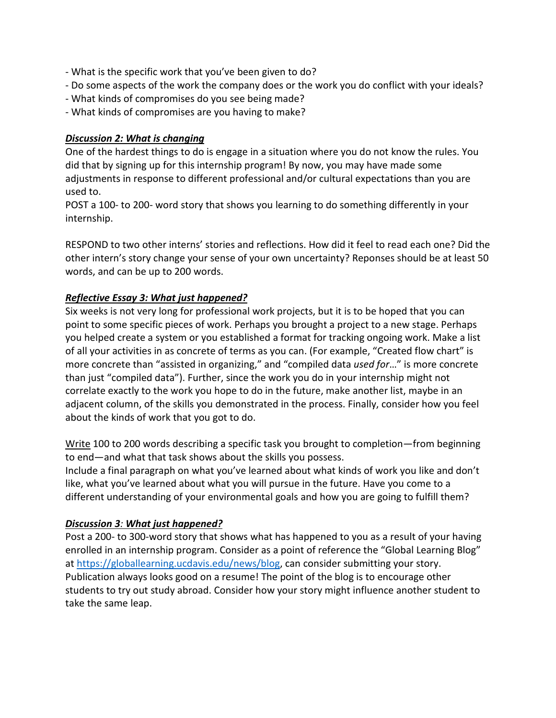- What is the specific work that you've been given to do?
- Do some aspects of the work the company does or the work you do conflict with your ideals?
- What kinds of compromises do you see being made?
- What kinds of compromises are you having to make?

## *Discussion 2: What is changing*

One of the hardest things to do is engage in a situation where you do not know the rules. You did that by signing up for this internship program! By now, you may have made some adjustments in response to different professional and/or cultural expectations than you are used to.

POST a 100- to 200- word story that shows you learning to do something differently in your internship.

RESPOND to two other interns' stories and reflections. How did it feel to read each one? Did the other intern's story change your sense of your own uncertainty? Reponses should be at least 50 words, and can be up to 200 words.

# *Reflective Essay 3: What just happened?*

Six weeks is not very long for professional work projects, but it is to be hoped that you can point to some specific pieces of work. Perhaps you brought a project to a new stage. Perhaps you helped create a system or you established a format for tracking ongoing work. Make a list of all your activities in as concrete of terms as you can. (For example, "Created flow chart" is more concrete than "assisted in organizing," and "compiled data *used for*…" is more concrete than just "compiled data"). Further, since the work you do in your internship might not correlate exactly to the work you hope to do in the future, make another list, maybe in an adjacent column, of the skills you demonstrated in the process. Finally, consider how you feel about the kinds of work that you got to do.

Write 100 to 200 words describing a specific task you brought to completion—from beginning to end—and what that task shows about the skills you possess.

Include a final paragraph on what you've learned about what kinds of work you like and don't like, what you've learned about what you will pursue in the future. Have you come to a different understanding of your environmental goals and how you are going to fulfill them?

## *Discussion 3: What just happened?*

Post a 200- to 300-word story that shows what has happened to you as a result of your having enrolled in an internship program. Consider as a point of reference the "Global Learning Blog" at [https://globallearning.ucdavis.edu/news/blog,](https://globallearning.ucdavis.edu/news/blog) can consider submitting your story. Publication always looks good on a resume! The point of the blog is to encourage other students to try out study abroad. Consider how your story might influence another student to take the same leap.